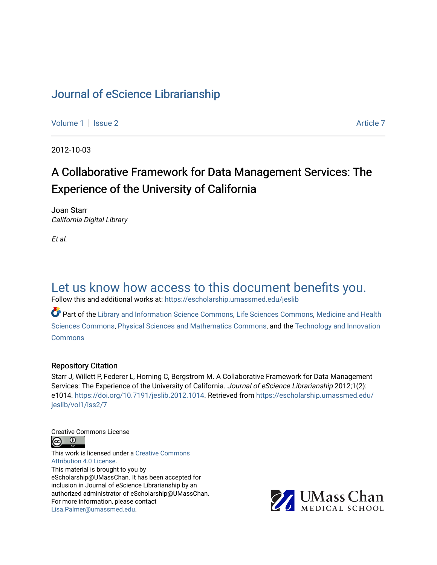# [Journal of eScience Librarianship](https://escholarship.umassmed.edu/jeslib)

[Volume 1](https://escholarship.umassmed.edu/jeslib/vol1) | [Issue 2](https://escholarship.umassmed.edu/jeslib/vol1/iss2) Article 7

2012-10-03

# A Collaborative Framework for Data Management Services: The Experience of the University of California

Joan Starr California Digital Library

Et al.

# [Let us know how access to this document benefits you.](https://arcsapps.umassmed.edu/redcap/surveys/?s=XWRHNF9EJE)

Follow this and additional works at: [https://escholarship.umassmed.edu/jeslib](https://escholarship.umassmed.edu/jeslib?utm_source=escholarship.umassmed.edu%2Fjeslib%2Fvol1%2Fiss2%2F7&utm_medium=PDF&utm_campaign=PDFCoverPages) 

Part of the [Library and Information Science Commons,](http://network.bepress.com/hgg/discipline/1018?utm_source=escholarship.umassmed.edu%2Fjeslib%2Fvol1%2Fiss2%2F7&utm_medium=PDF&utm_campaign=PDFCoverPages) [Life Sciences Commons](http://network.bepress.com/hgg/discipline/1016?utm_source=escholarship.umassmed.edu%2Fjeslib%2Fvol1%2Fiss2%2F7&utm_medium=PDF&utm_campaign=PDFCoverPages), [Medicine and Health](http://network.bepress.com/hgg/discipline/648?utm_source=escholarship.umassmed.edu%2Fjeslib%2Fvol1%2Fiss2%2F7&utm_medium=PDF&utm_campaign=PDFCoverPages)  [Sciences Commons,](http://network.bepress.com/hgg/discipline/648?utm_source=escholarship.umassmed.edu%2Fjeslib%2Fvol1%2Fiss2%2F7&utm_medium=PDF&utm_campaign=PDFCoverPages) [Physical Sciences and Mathematics Commons,](http://network.bepress.com/hgg/discipline/114?utm_source=escholarship.umassmed.edu%2Fjeslib%2Fvol1%2Fiss2%2F7&utm_medium=PDF&utm_campaign=PDFCoverPages) and the [Technology and Innovation](http://network.bepress.com/hgg/discipline/644?utm_source=escholarship.umassmed.edu%2Fjeslib%2Fvol1%2Fiss2%2F7&utm_medium=PDF&utm_campaign=PDFCoverPages)  [Commons](http://network.bepress.com/hgg/discipline/644?utm_source=escholarship.umassmed.edu%2Fjeslib%2Fvol1%2Fiss2%2F7&utm_medium=PDF&utm_campaign=PDFCoverPages)

#### Repository Citation

Starr J, Willett P, Federer L, Horning C, Bergstrom M. A Collaborative Framework for Data Management Services: The Experience of the University of California. Journal of eScience Librarianship 2012;1(2): e1014. <https://doi.org/10.7191/jeslib.2012.1014>. Retrieved from [https://escholarship.umassmed.edu/](https://escholarship.umassmed.edu/jeslib/vol1/iss2/7?utm_source=escholarship.umassmed.edu%2Fjeslib%2Fvol1%2Fiss2%2F7&utm_medium=PDF&utm_campaign=PDFCoverPages) [jeslib/vol1/iss2/7](https://escholarship.umassmed.edu/jeslib/vol1/iss2/7?utm_source=escholarship.umassmed.edu%2Fjeslib%2Fvol1%2Fiss2%2F7&utm_medium=PDF&utm_campaign=PDFCoverPages)

Creative Commons License



This work is licensed under a [Creative Commons](https://creativecommons.org/licenses/by/4.0/) [Attribution 4.0 License.](https://creativecommons.org/licenses/by/4.0/) This material is brought to you by eScholarship@UMassChan. It has been accepted for inclusion in Journal of eScience Librarianship by an authorized administrator of eScholarship@UMassChan. For more information, please contact [Lisa.Palmer@umassmed.edu](mailto:Lisa.Palmer@umassmed.edu).

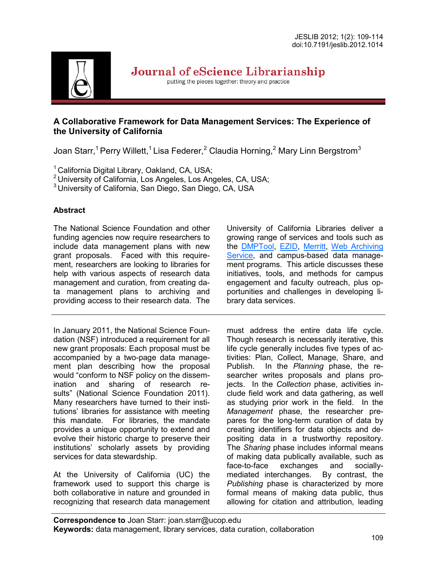

Journal of eScience Librarianship

putting the pieces together: theory and practice

# **A Collaborative Framework for Data Management Services: The Experience of the University of California**

Joan Starr,<sup>1</sup> Perry Willett,<sup>1</sup> Lisa Federer,<sup>2</sup> Claudia Horning,<sup>2</sup> Mary Linn Bergstrom<sup>3</sup>

<sup>1</sup> California Digital Library, Oakland, CA, USA;

<sup>2</sup> University of California, Los Angeles, Los Angeles, CA, USA;

<sup>3</sup> University of California, San Diego, San Diego, CA, USA

# **Abstract**

The National Science Foundation and other funding agencies now require researchers to include data management plans with new grant proposals. Faced with this requirement, researchers are looking to libraries for help with various aspects of research data management and curation, from creating data management plans to archiving and providing access to their research data. The

In January 2011, the National Science Foundation (NSF) introduced a requirement for all new grant proposals: Each proposal must be accompanied by a two-page data management plan describing how the proposal would "conform to NSF policy on the dissemination and sharing of research results" (National Science Foundation 2011). Many researchers have turned to their institutions' libraries for assistance with meeting this mandate. For libraries, the mandate provides a unique opportunity to extend and evolve their historic charge to preserve their institutions' scholarly assets by providing services for data stewardship.

At the University of California (UC) the framework used to support this charge is both collaborative in nature and grounded in recognizing that research data management University of California Libraries deliver a growing range of services and tools such as th[e DMPTool,](https://dmp.cdlib.org/) [EZID,](http://n2t.net/ezid/) [Merritt,](https://merritt.cdlib.org/) [Web Archiving](http://webarchives.cdlib.org/)  [Service,](http://webarchives.cdlib.org/) and campus-based data management programs. This article discusses these initiatives, tools, and methods for campus engagement and faculty outreach, plus opportunities and challenges in developing library data services.

must address the entire data life cycle. Though research is necessarily iterative, this life cycle generally includes five types of activities: Plan, Collect, Manage, Share, and Publish. In the *Planning* phase, the researcher writes proposals and plans projects. In the *Collection* phase, activities include field work and data gathering, as well as studying prior work in the field. In the *Management* phase, the researcher prepares for the long-term curation of data by creating identifiers for data objects and depositing data in a trustworthy repository. The *Sharing* phase includes informal means of making data publically available, such as face-to-face exchanges and sociallymediated interchanges. By contrast, the *Publishing* phase is characterized by more formal means of making data public, thus allowing for citation and attribution, leading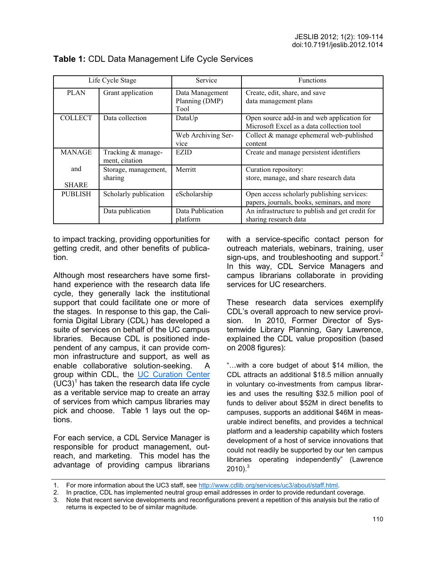| Life Cycle Stage    |                                      | Service                                   | <b>Functions</b>                                                                          |
|---------------------|--------------------------------------|-------------------------------------------|-------------------------------------------------------------------------------------------|
| <b>PLAN</b>         | Grant application                    | Data Management<br>Planning (DMP)<br>Tool | Create, edit, share, and save<br>data management plans                                    |
| <b>COLLECT</b>      | Data collection                      | DataUp                                    | Open source add-in and web application for<br>Microsoft Excel as a data collection tool   |
|                     |                                      | Web Archiving Ser-<br>vice                | Collect $&$ manage ephemeral web-published<br>content                                     |
| <b>MANAGE</b>       | Tracking & manage-<br>ment, citation | <b>EZID</b>                               | Create and manage persistent identifiers                                                  |
| and<br><b>SHARE</b> | Storage, management,<br>sharing      | Merritt                                   | Curation repository:<br>store, manage, and share research data                            |
| <b>PUBLISH</b>      | Scholarly publication                | eScholarship                              | Open access scholarly publishing services:<br>papers, journals, books, seminars, and more |
|                     | Data publication                     | Data Publication<br>platform              | An infrastructure to publish and get credit for<br>sharing research data                  |

# **Table 1:** CDL Data Management Life Cycle Services

to impact tracking, providing opportunities for getting credit, and other benefits of publication.

Although most researchers have some firsthand experience with the research data life cycle, they generally lack the institutional support that could facilitate one or more of the stages. In response to this gap, the California Digital Library (CDL) has developed a suite of services on behalf of the UC campus libraries. Because CDL is positioned independent of any campus, it can provide common infrastructure and support, as well as enable collaborative solution-seeking. A group within CDL, the [UC Curation Center](http://www.cdlib.org/services/uc3/)  $(UC3)^1$  has taken the research data life cycle as a veritable service map to create an array of services from which campus libraries may pick and choose. Table 1 lays out the options.

For each service, a CDL Service Manager is responsible for product management, outreach, and marketing. This model has the advantage of providing campus librarians with a service-specific contact person for outreach materials, webinars, training, user sign-ups, and troubleshooting and support. $2^2$ In this way, CDL Service Managers and campus librarians collaborate in providing services for UC researchers.

These research data services exemplify CDL's overall approach to new service provision. In 2010, Former Director of Systemwide Library Planning, Gary Lawrence, explained the CDL value proposition (based on 2008 figures):

"…with a core budget of about \$14 million, the CDL attracts an additional \$18.5 million annually in voluntary co-investments from campus libraries and uses the resulting \$32.5 million pool of funds to deliver about \$52M in direct benefits to campuses, supports an additional \$46M in measurable indirect benefits, and provides a technical platform and a leadership capability which fosters development of a host of service innovations that could not readily be supported by our ten campus libraries operating independently" (Lawrence  $2010$ .<sup>3</sup>

<sup>1.</sup> For more information about the UC3 staff, see [http://www.cdlib.org/services/uc3/about/staff.html.](http://www.cdlib.org/services/uc3/about/staff.html)

<sup>2.</sup> In practice, CDL has implemented neutral group email addresses in order to provide redundant coverage.

<sup>3.</sup> Note that recent service developments and reconfigurations prevent a repetition of this analysis but the ratio of returns is expected to be of similar magnitude.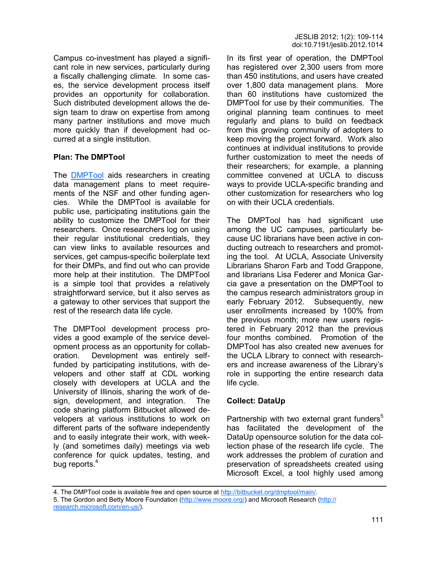Campus co-investment has played a significant role in new services, particularly during a fiscally challenging climate. In some cases, the service development process itself provides an opportunity for collaboration. Such distributed development allows the design team to draw on expertise from among many partner institutions and move much more quickly than if development had occurred at a single institution.

## **Plan: The DMPTool**

The [DMPTool](http://dmp.cdlib.org/) aids researchers in creating data management plans to meet requirements of the NSF and other funding agencies. While the DMPTool is available for public use, participating institutions gain the ability to customize the DMPTool for their researchers. Once researchers log on using their regular institutional credentials, they can view links to available resources and services, get campus-specific boilerplate text for their DMPs, and find out who can provide more help at their institution. The DMPTool is a simple tool that provides a relatively straightforward service, but it also serves as a gateway to other services that support the rest of the research data life cycle.

The DMPTool development process provides a good example of the service development process as an opportunity for collaboration. Development was entirely selffunded by participating institutions, with developers and other staff at CDL working closely with developers at UCLA and the University of Illinois, sharing the work of design, development, and integration. The code sharing platform Bitbucket allowed developers at various institutions to work on different parts of the software independently and to easily integrate their work, with weekly (and sometimes daily) meetings via web conference for quick updates, testing, and bug reports. $4$ 

In its first year of operation, the DMPTool has registered over 2,300 users from more than 450 institutions, and users have created over 1,800 data management plans. More than 60 institutions have customized the DMPTool for use by their communities. The original planning team continues to meet regularly and plans to build on feedback from this growing community of adopters to keep moving the project forward. Work also continues at individual institutions to provide further customization to meet the needs of their researchers; for example, a planning committee convened at UCLA to discuss ways to provide UCLA-specific branding and other customization for researchers who log on with their UCLA credentials.

The DMPTool has had significant use among the UC campuses, particularly because UC librarians have been active in conducting outreach to researchers and promoting the tool. At UCLA, Associate University Librarians Sharon Farb and Todd Grappone, and librarians Lisa Federer and Monica Garcia gave a presentation on the DMPTool to the campus research administrators group in early February 2012. Subsequently, new user enrollments increased by 100% from the previous month; more new users registered in February 2012 than the previous four months combined. Promotion of the DMPTool has also created new avenues for the UCLA Library to connect with researchers and increase awareness of the Library's role in supporting the entire research data life cycle.

#### **Collect: DataUp**

Partnership with two external grant funders<sup>5</sup> has facilitated the development of the DataUp opensource solution for the data collection phase of the research life cycle. The work addresses the problem of curation and preservation of spreadsheets created using Microsoft Excel, a tool highly used among

<sup>4.</sup> The DMPTool code is available free and open source at [http://bitbucket.org/dmptool/main/.](http://bitbucket.org/dmptool/main/)

<sup>5.</sup> The Gordon and Betty Moore Foundation ([http://www.moore.org/\)](http://www.moore.org/) and Microsoft Research ([http://](http://research.microsoft.com/en-us/)

[research.microsoft.com/en](http://research.microsoft.com/en-us/)-us/).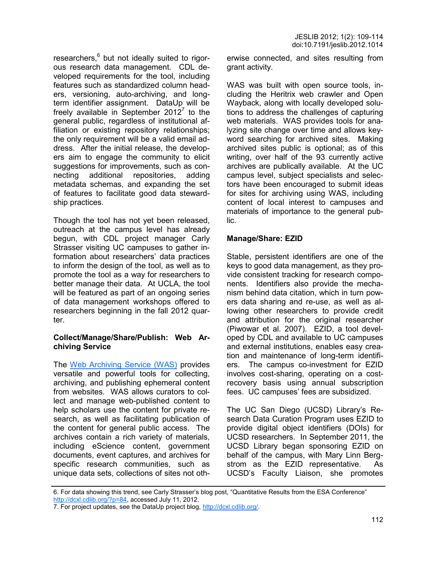researchers,<sup>6</sup> but not ideally suited to rigorous research data management. CDL developed requirements for the tool, including features such as standardized column headers, versioning, auto-archiving, and longterm identifier assignment. DataUp will be freely available in September 2012 $^7$  to the general public, regardless of institutional affiliation or existing repository relationships; the only requirement will be a valid email address. After the initial release, the developers aim to engage the community to elicit suggestions for improvements, such as connecting additional repositories, adding metadata schemas, and expanding the set of features to facilitate good data stewardship practices.

Though the tool has not yet been released, outreach at the campus level has already begun, with CDL project manager Carly Strasser visiting UC campuses to gather information about researchers' data practices to inform the design of the tool, as well as to promote the tool as a way for researchers to better manage their data. At UCLA, the tool will be featured as part of an ongoing series of data management workshops offered to researchers beginning in the fall 2012 quarter.

## **Collect/Manage/Share/Publish: Web Archiving Service**

The [Web Archiving Service \(WAS\)](http://webarchives.cdlib.org) provides versatile and powerful tools for collecting, archiving, and publishing ephemeral content from websites. WAS allows curators to collect and manage web-published content to help scholars use the content for private research, as well as facilitating publication of the content for general public access. The archives contain a rich variety of materials, including eScience content, government documents, event captures, and archives for specific research communities, such as unique data sets, collections of sites not otherwise connected, and sites resulting from grant activity.

WAS was built with open source tools, including the Heritrix web crawler and Open Wayback, along with locally developed solutions to address the challenges of capturing web materials. WAS provides tools for analyzing site change over time and allows keyword searching for archived sites. Making archived sites public is optional; as of this writing, over half of the 93 currently active archives are publically available. At the UC campus level, subject specialists and selectors have been encouraged to submit ideas for sites for archiving using WAS, including content of local interest to campuses and materials of importance to the general public.

### **Manage/Share: EZID**

Stable, persistent identifiers are one of the keys to good data management, as they provide consistent tracking for research components. Identifiers also provide the mechanism behind data citation, which in turn powers data sharing and re-use, as well as allowing other researchers to provide credit and attribution for the original researcher (Piwowar et al. 2007). EZID, a tool developed by CDL and available to UC campuses and external institutions, enables easy creation and maintenance of long-term identifiers. The campus co-investment for EZID involves cost-sharing, operating on a costrecovery basis using annual subscription fees. UC campuses' fees are subsidized.

The UC San Diego (UCSD) Library's Research Data Curation Program uses EZID to provide digital object identifiers (DOIs) for UCSD researchers. In September 2011, the UCSD Library began sponsoring EZID on behalf of the campus, with Mary Linn Bergstrom as the EZID representative. As UCSD's Faculty Liaison, she promotes

<sup>6.</sup> For data showing this trend, see Carly Strasser's blog post, "Quantitative Results from the ESA Conference" [http://dcxl.cdlib.org/?p=84,](http://dcxl.cdlib.org/?p=84) accessed July 11, 2012.

<sup>7.</sup> For project updates, see the DataUp project blog, [http://dcxl.cdlib.org/.](http://dcxl.cdlib.org/)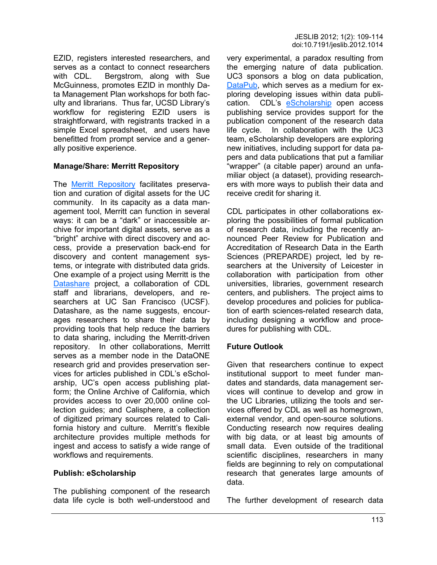EZID, registers interested researchers, and serves as a contact to connect researchers with CDL. Bergstrom, along with Sue McGuinness, promotes EZID in monthly Data Management Plan workshops for both faculty and librarians. Thus far, UCSD Library's workflow for registering EZID users is straightforward, with registrants tracked in a simple Excel spreadsheet, and users have benefitted from prompt service and a generally positive experience.

## **Manage/Share: Merritt Repository**

The [Merritt Repository f](https://merritt.cdlib.org/)acilitates preservation and curation of digital assets for the UC community. In its capacity as a data management tool, Merritt can function in several ways: it can be a "dark" or inaccessible archive for important digital assets, serve as a "bright" archive with direct discovery and access, provide a preservation back-end for discovery and content management systems, or integrate with distributed data grids. One example of a project using Merritt is the [Datashare](http://datashare.ucsf.edu) project, a collaboration of CDL staff and librarians, developers, and researchers at UC San Francisco (UCSF). Datashare, as the name suggests, encourages researchers to share their data by providing tools that help reduce the barriers to data sharing, including the Merritt-driven repository. In other collaborations, Merritt serves as a member node in the DataONE research grid and provides preservation services for articles published in CDL's eScholarship, UC's open access publishing platform; the Online Archive of California, which provides access to over 20,000 online collection guides; and Calisphere, a collection of digitized primary sources related to California history and culture. Merritt's flexible architecture provides multiple methods for ingest and access to satisfy a wide range of workflows and requirements.

## **Publish: eScholarship**

The publishing component of the research data life cycle is both well-understood and very experimental, a paradox resulting from the emerging nature of data publication. UC3 sponsors a blog on data publication, [DataPub,](http://datapub.cdlib.org/) which serves as a medium for exploring developing issues within data publication. CDL's [eScholarship](http://www.escholarship.org/) open access publishing service provides support for the publication component of the research data life cycle. In collaboration with the UC3 team, eScholarship developers are exploring new initiatives, including support for data papers and data publications that put a familiar "wrapper" (a citable paper) around an unfamiliar object (a dataset), providing researchers with more ways to publish their data and receive credit for sharing it.

CDL participates in other collaborations exploring the possibilities of formal publication of research data, including the recently announced Peer Review for Publication and Accreditation of Research Data in the Earth Sciences (PREPARDE) project, led by researchers at the University of Leicester in collaboration with participation from other universities, libraries, government research centers, and publishers. The project aims to develop procedures and policies for publication of earth sciences-related research data, including designing a workflow and procedures for publishing with CDL.

# **Future Outlook**

Given that researchers continue to expect institutional support to meet funder mandates and standards, data management services will continue to develop and grow in the UC Libraries, utilizing the tools and services offered by CDL as well as homegrown, external vendor, and open-source solutions. Conducting research now requires dealing with big data, or at least big amounts of small data. Even outside of the traditional scientific disciplines, researchers in many fields are beginning to rely on computational research that generates large amounts of data.

The further development of research data